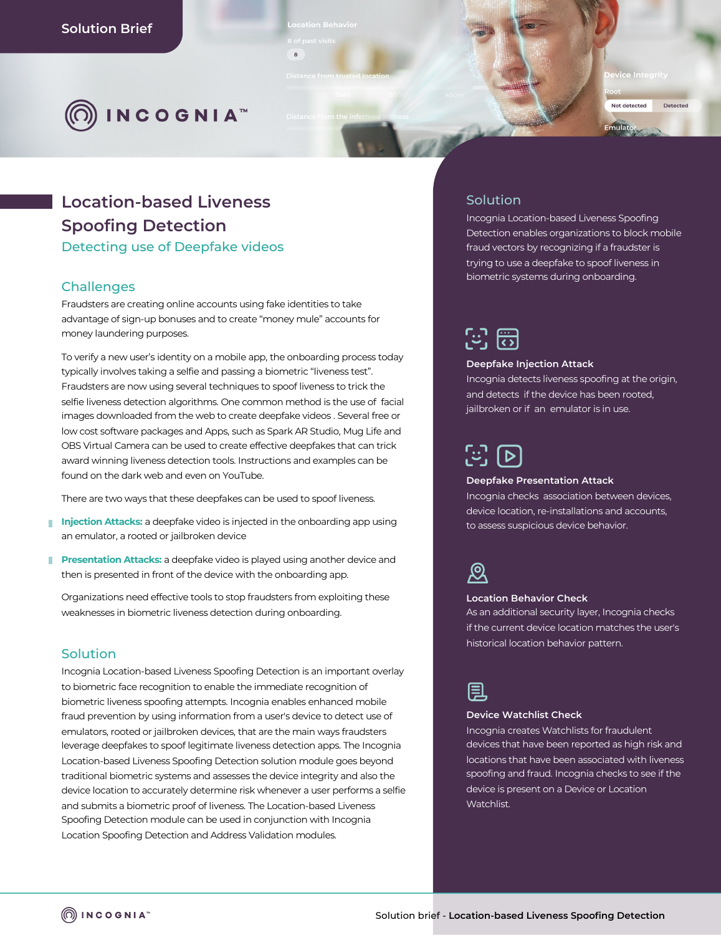

**vice Integrit** 

# Not detected Detected Emulator

# **Location-based Liveness Spoofing Detection**

Detecting use of Deepfake videos

### **Challenges**

Fraudsters are creating online accounts using fake identities to take advantage of sign-up bonuses and to create "money mule" accounts for money laundering purposes.

 $\circ$ 

To verify a new user's identity on a mobile app, the onboarding process today typically involves taking a selfie and passing a biometric "liveness test". Fraudsters are now using several techniques to spoof liveness to trick the selfie liveness detection algorithms. One common method is the use of facial images downloaded from the web to create deepfake videos . Several free or low cost software packages and Apps, such as Spark AR Studio, Mug Life and OBS Virtual Camera can be used to create effective deepfakes that can trick award winning liveness detection tools. Instructions and examples can be found on the dark web and even on YouTube.

There are two ways that these deepfakes can be used to spoof liveness.

- **Injection Attacks:** a deepfake video is injected in the onboarding app using an emulator, a rooted or jailbroken device
- **Presentation Attacks:** a deepfake video is played using another device and then is presented in front of the device with the onboarding app.

Organizations need effective tools to stop fraudsters from exploiting these weaknesses in biometric liveness detection during onboarding.

### Solution

Incognia Location-based Liveness Spoofing Detection is an important overlay to biometric face recognition to enable the immediate recognition of biometric liveness spoofing attempts. Incognia enables enhanced mobile fraud prevention by using information from a user's device to detect use of emulators, rooted or jailbroken devices, that are the main ways fraudsters leverage deepfakes to spoof legitimate liveness detection apps. The Incognia Location-based Liveness Spoofing Detection solution module goes beyond traditional biometric systems and assesses the device integrity and also the device location to accurately determine risk whenever a user performs a selfie and submits a biometric proof of liveness. The Location-based Liveness Spoofing Detection module can be used in conjunction with Incognia Location Spoofing Detection and Address Validation modules.

### Solution

Incognia Location-based Liveness Spoofing Detection enables organizations to block mobile fraud vectors by recognizing if a fraudster is trying to use a deepfake to spoof liveness in biometric systems during onboarding.

| ٠ | $\cdots$ |
|---|----------|
|   |          |
|   |          |

### **Deepfake Injection Attack**

Incognia detects liveness spoofing at the origin, and detects if the device has been rooted, jailbroken or if an emulator is in use.



### **Deepfake Presentation Attack**

Incognia checks association between devices, device location, re-installations and accounts, to assess suspicious device behavior.



#### **Location Behavior Check**

As an additional security layer, Incognia checks if the current device location matches the user's historical location behavior pattern.



#### **Device Watchlist Check**

Incognia creates Watchlists for fraudulent devices that have been reported as high risk and locations that have been associated with liveness spoofing and fraud. Incognia checks to see if the device is present on a Device or Location Watchlist.

 $\textcircled{a}$  incognia<sup>®</sup>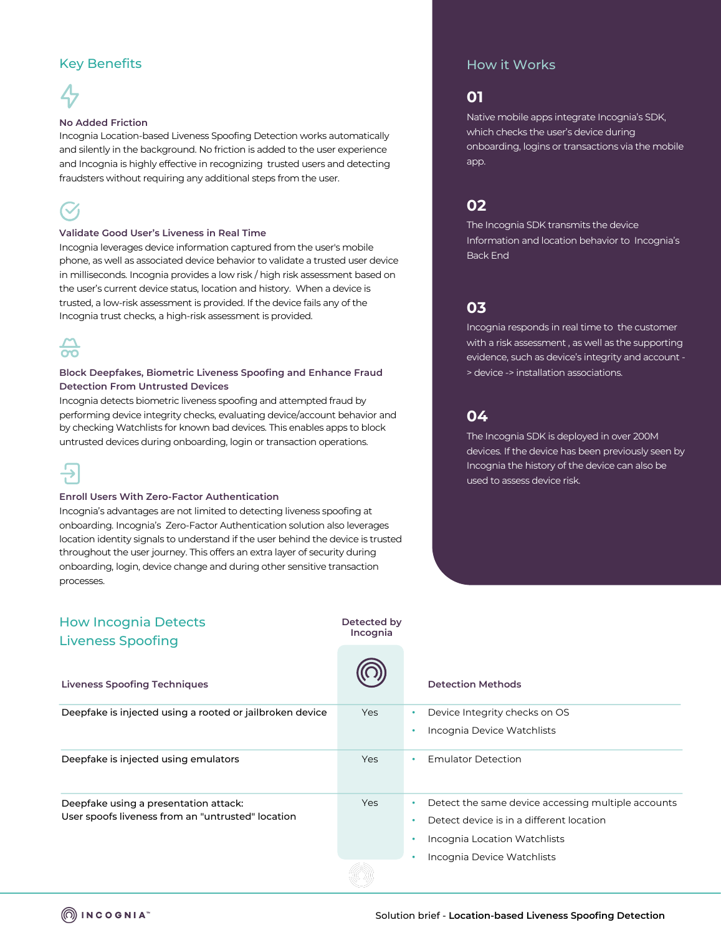### Key Benefits



### **No Added Friction**

Incognia Location-based Liveness Spoofing Detection works automatically and silently in the background. No friction is added to the user experience and Incognia is highly effective in recognizing trusted users and detecting fraudsters without requiring any additional steps from the user.



### **Validate Good User's Liveness in Real Time**

Incognia leverages device information captured from the user's mobile phone, as well as associated device behavior to validate a trusted user device in milliseconds. Incognia provides a low risk / high risk assessment based on the user's current device status, location and history. When a device is trusted, a low-risk assessment is provided. If the device fails any of the Incognia trust checks, a high-risk assessment is provided.

# $\frac{1}{2}$

### **Block Deepfakes, Biometric Liveness Spoofing and Enhance Fraud Detection From Untrusted Devices**

Incognia detects biometric liveness spoofing and attempted fraud by performing device integrity checks, evaluating device/account behavior and by checking Watchlists for known bad devices. This enables apps to block untrusted devices during onboarding, login or transaction operations.



### **Enroll Users With Zero-Factor Authentication**

Incognia's advantages are not limited to detecting liveness spoofing at onboarding. Incognia's Zero-Factor Authentication solution also leverages location identity signals to understand if the user behind the device is trusted throughout the user journey. This offers an extra layer of security during onboarding, login, device change and during other sensitive transaction processes.

### How it Works

### **01**

Native mobile apps integrate Incognia's SDK, which checks the user's device during onboarding, logins or transactions via the mobile app.

### **02**

The Incognia SDK transmits the device Information and location behavior to Incognia's Back End

## **03**

Incognia responds in real time to the customer with a risk assessment , as well as the supporting evidence, such as device's integrity and account - > device -> installation associations.

### **04**

The Incognia SDK is deployed in over 200M devices. If the device has been previously seen by Incognia the history of the device can also be used to assess device risk.

| <b>How Incognia Detects</b><br><b>Liveness Spoofing</b>  | Detected by<br>Incognia |                                                    |
|----------------------------------------------------------|-------------------------|----------------------------------------------------|
| <b>Liveness Spoofing Techniques</b>                      |                         | <b>Detection Methods</b>                           |
| Deepfake is injected using a rooted or jailbroken device | <b>Yes</b>              | Device Integrity checks on OS<br>٠                 |
|                                                          |                         | Incognia Device Watchlists                         |
| Deepfake is injected using emulators                     | Yes                     | <b>Emulator Detection</b><br>$\bullet$             |
| Deepfake using a presentation attack:                    | Yes                     | Detect the same device accessing multiple accounts |
| User spoofs liveness from an "untrusted" location        |                         | Detect device is in a different location           |
|                                                          |                         | Incognia Location Watchlists                       |
|                                                          |                         | Incognia Device Watchlists                         |